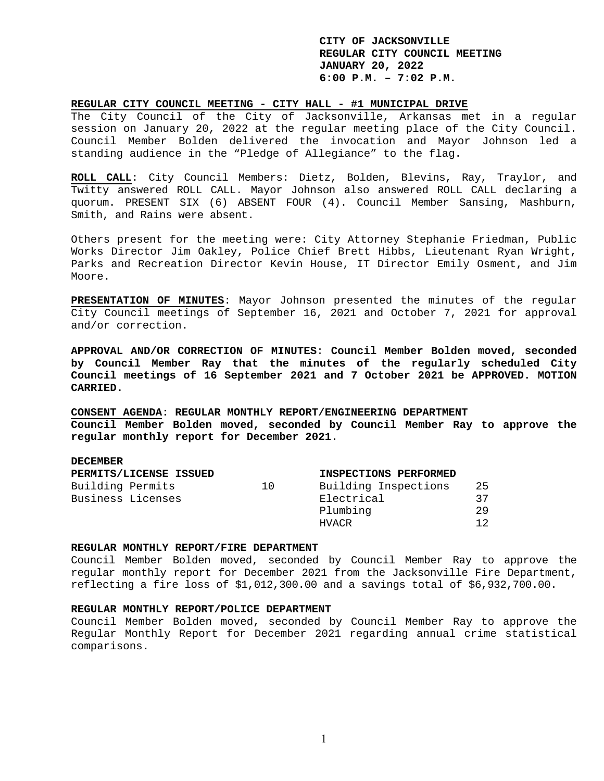### **REGULAR CITY COUNCIL MEETING - CITY HALL - #1 MUNICIPAL DRIVE**

The City Council of the City of Jacksonville, Arkansas met in a regular session on January 20, 2022 at the regular meeting place of the City Council. Council Member Bolden delivered the invocation and Mayor Johnson led a standing audience in the "Pledge of Allegiance" to the flag.

**ROLL CALL**: City Council Members: Dietz, Bolden, Blevins, Ray, Traylor, and Twitty answered ROLL CALL. Mayor Johnson also answered ROLL CALL declaring a quorum. PRESENT SIX (6) ABSENT FOUR (4). Council Member Sansing, Mashburn, Smith, and Rains were absent.

Others present for the meeting were: City Attorney Stephanie Friedman, Public Works Director Jim Oakley, Police Chief Brett Hibbs, Lieutenant Ryan Wright, Parks and Recreation Director Kevin House, IT Director Emily Osment, and Jim Moore.

**PRESENTATION OF MINUTES**: Mayor Johnson presented the minutes of the regular City Council meetings of September 16, 2021 and October 7, 2021 for approval and/or correction.

**APPROVAL AND/OR CORRECTION OF MINUTES**: **Council Member Bolden moved, seconded by Council Member Ray that the minutes of the regularly scheduled City Council meetings of 16 September 2021 and 7 October 2021 be APPROVED. MOTION CARRIED.** 

**CONSENT AGENDA: REGULAR MONTHLY REPORT/ENGINEERING DEPARTMENT Council Member Bolden moved, seconded by Council Member Ray to approve the regular monthly report for December 2021.** 

### **DECEMBER**

|                   | PERMITS/LICENSE ISSUED |    | INSPECTIONS PERFORMED |     |
|-------------------|------------------------|----|-----------------------|-----|
| Building Permits  |                        | 10 | Building Inspections  | -25 |
| Business Licenses |                        |    | Electrical            | 37  |
|                   |                        |    | Plumbing              | 29  |
|                   |                        |    | HVACR                 | 12  |

### **REGULAR MONTHLY REPORT/FIRE DEPARTMENT**

Council Member Bolden moved, seconded by Council Member Ray to approve the regular monthly report for December 2021 from the Jacksonville Fire Department, reflecting a fire loss of \$1,012,300.00 and a savings total of \$6,932,700.00.

#### **REGULAR MONTHLY REPORT/POLICE DEPARTMENT**

Council Member Bolden moved, seconded by Council Member Ray to approve the Regular Monthly Report for December 2021 regarding annual crime statistical comparisons.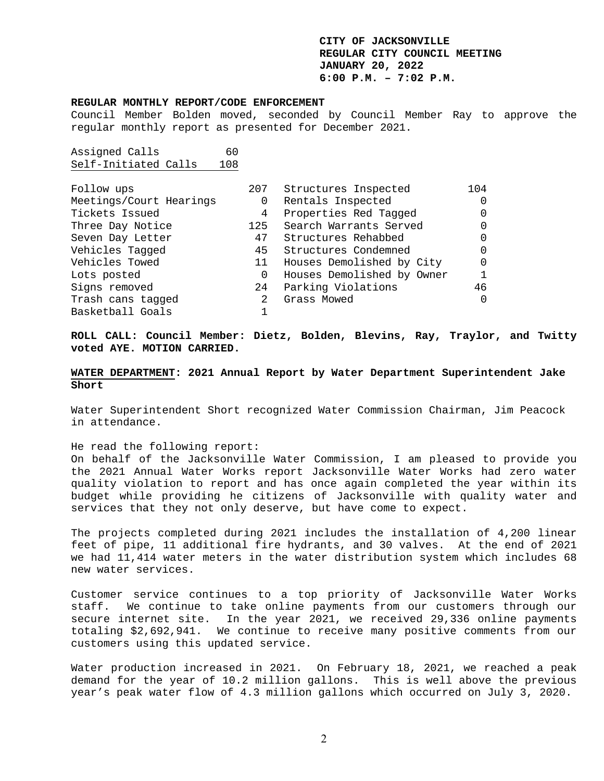#### **REGULAR MONTHLY REPORT/CODE ENFORCEMENT**

Council Member Bolden moved, seconded by Council Member Ray to approve the regular monthly report as presented for December 2021.

Assigned Calls 60 Self-Initiated Calls 108

| Follow ups              | 207 | Structures Inspected       | 104 |
|-------------------------|-----|----------------------------|-----|
| Meetings/Court Hearings | 0   | Rentals Inspected          |     |
| Tickets Issued          | 4   | Properties Red Tagged      |     |
| Three Day Notice        | 125 | Search Warrants Served     |     |
| Seven Day Letter        | 47  | Structures Rehabbed        |     |
| Vehicles Tagged         | 45  | Structures Condemned       |     |
| Vehicles Towed          | 11  | Houses Demolished by City  |     |
| Lots posted             | 0   | Houses Demolished by Owner |     |
| Signs removed           | 24  | Parking Violations         | 46  |
| Trash cans tagged       | 2   | Grass Mowed                |     |
| Basketball Goals        |     |                            |     |

**ROLL CALL: Council Member: Dietz, Bolden, Blevins, Ray, Traylor, and Twitty voted AYE. MOTION CARRIED.** 

**WATER DEPARTMENT: 2021 Annual Report by Water Department Superintendent Jake Short** 

Water Superintendent Short recognized Water Commission Chairman, Jim Peacock in attendance.

He read the following report:

On behalf of the Jacksonville Water Commission, I am pleased to provide you the 2021 Annual Water Works report Jacksonville Water Works had zero water quality violation to report and has once again completed the year within its budget while providing he citizens of Jacksonville with quality water and services that they not only deserve, but have come to expect.

The projects completed during 2021 includes the installation of 4,200 linear feet of pipe, 11 additional fire hydrants, and 30 valves. At the end of 2021 we had 11,414 water meters in the water distribution system which includes 68 new water services.

Customer service continues to a top priority of Jacksonville Water Works staff. We continue to take online payments from our customers through our secure internet site. In the year 2021, we received 29,336 online payments totaling \$2,692,941. We continue to receive many positive comments from our customers using this updated service.

Water production increased in 2021. On February 18, 2021, we reached a peak demand for the year of 10.2 million gallons. This is well above the previous year's peak water flow of 4.3 million gallons which occurred on July 3, 2020.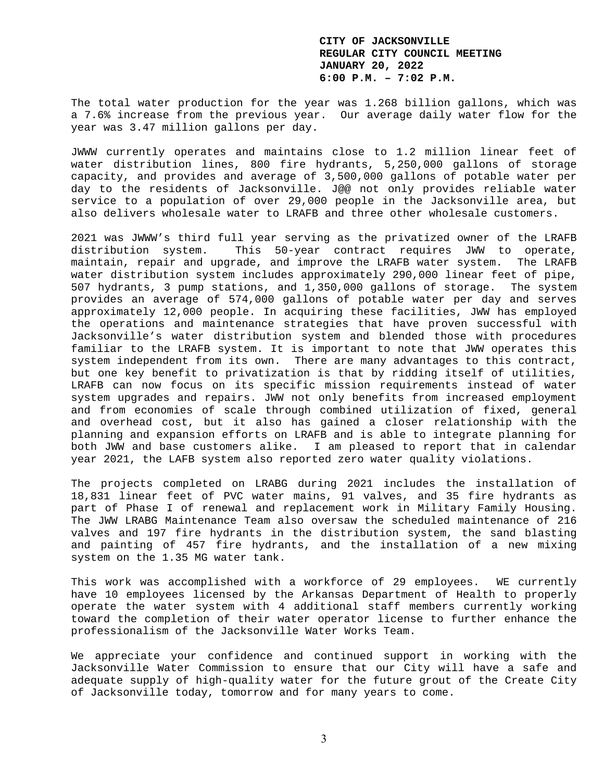The total water production for the year was 1.268 billion gallons, which was a 7.6% increase from the previous year. Our average daily water flow for the year was 3.47 million gallons per day.

JWWW currently operates and maintains close to 1.2 million linear feet of water distribution lines, 800 fire hydrants, 5,250,000 gallons of storage capacity, and provides and average of 3,500,000 gallons of potable water per day to the residents of Jacksonville. J@@ not only provides reliable water service to a population of over 29,000 people in the Jacksonville area, but also delivers wholesale water to LRAFB and three other wholesale customers.

2021 was JWWW's third full year serving as the privatized owner of the LRAFB distribution system. This 50-year contract requires JWW to operate, maintain, repair and upgrade, and improve the LRAFB water system. The LRAFB water distribution system includes approximately 290,000 linear feet of pipe, 507 hydrants, 3 pump stations, and 1,350,000 gallons of storage. The system provides an average of 574,000 gallons of potable water per day and serves approximately 12,000 people. In acquiring these facilities, JWW has employed the operations and maintenance strategies that have proven successful with Jacksonville's water distribution system and blended those with procedures familiar to the LRAFB system. It is important to note that JWW operates this system independent from its own. There are many advantages to this contract, but one key benefit to privatization is that by ridding itself of utilities, LRAFB can now focus on its specific mission requirements instead of water system upgrades and repairs. JWW not only benefits from increased employment and from economies of scale through combined utilization of fixed, general and overhead cost, but it also has gained a closer relationship with the planning and expansion efforts on LRAFB and is able to integrate planning for both JWW and base customers alike. I am pleased to report that in calendar year 2021, the LAFB system also reported zero water quality violations.

The projects completed on LRABG during 2021 includes the installation of 18,831 linear feet of PVC water mains, 91 valves, and 35 fire hydrants as part of Phase I of renewal and replacement work in Military Family Housing. The JWW LRABG Maintenance Team also oversaw the scheduled maintenance of 216 valves and 197 fire hydrants in the distribution system, the sand blasting and painting of 457 fire hydrants, and the installation of a new mixing system on the 1.35 MG water tank.

This work was accomplished with a workforce of 29 employees. WE currently have 10 employees licensed by the Arkansas Department of Health to properly operate the water system with 4 additional staff members currently working toward the completion of their water operator license to further enhance the professionalism of the Jacksonville Water Works Team.

We appreciate your confidence and continued support in working with the Jacksonville Water Commission to ensure that our City will have a safe and adequate supply of high-quality water for the future grout of the Create City of Jacksonville today, tomorrow and for many years to come.

3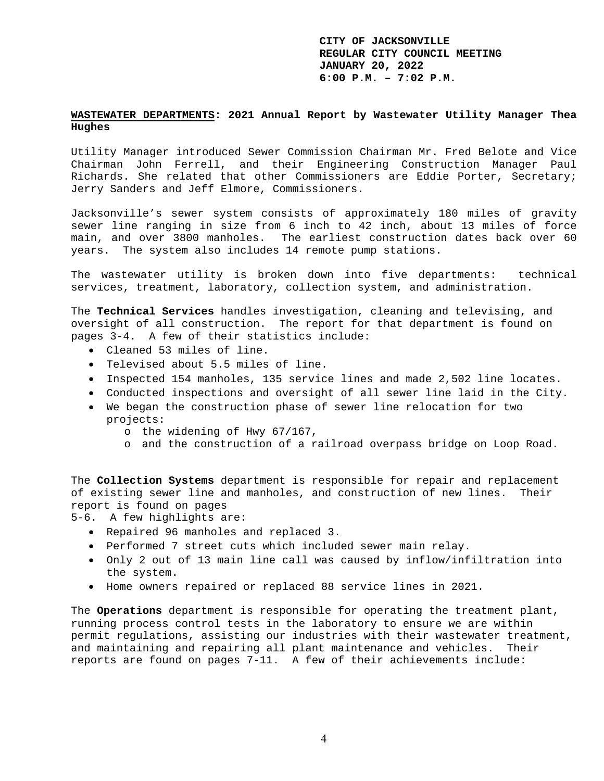### **WASTEWATER DEPARTMENTS: 2021 Annual Report by Wastewater Utility Manager Thea Hughes**

Utility Manager introduced Sewer Commission Chairman Mr. Fred Belote and Vice Chairman John Ferrell, and their Engineering Construction Manager Paul Richards. She related that other Commissioners are Eddie Porter, Secretary; Jerry Sanders and Jeff Elmore, Commissioners.

Jacksonville's sewer system consists of approximately 180 miles of gravity sewer line ranging in size from 6 inch to 42 inch, about 13 miles of force main, and over 3800 manholes. The earliest construction dates back over 60 years. The system also includes 14 remote pump stations.

The wastewater utility is broken down into five departments: technical services, treatment, laboratory, collection system, and administration.

The **Technical Services** handles investigation, cleaning and televising, and oversight of all construction. The report for that department is found on pages 3-4. A few of their statistics include:

- Cleaned 53 miles of line.
- Televised about 5.5 miles of line.
- Inspected 154 manholes, 135 service lines and made 2,502 line locates.
- Conducted inspections and oversight of all sewer line laid in the City.
- We began the construction phase of sewer line relocation for two projects:
	- o the widening of Hwy 67/167,
	- o and the construction of a railroad overpass bridge on Loop Road.

The **Collection Systems** department is responsible for repair and replacement of existing sewer line and manholes, and construction of new lines. Their report is found on pages

5-6. A few highlights are:

- Repaired 96 manholes and replaced 3.
- Performed 7 street cuts which included sewer main relay.
- Only 2 out of 13 main line call was caused by inflow/infiltration into the system.
- Home owners repaired or replaced 88 service lines in 2021.

The **Operations** department is responsible for operating the treatment plant, running process control tests in the laboratory to ensure we are within permit regulations, assisting our industries with their wastewater treatment, and maintaining and repairing all plant maintenance and vehicles. Their reports are found on pages 7-11. A few of their achievements include: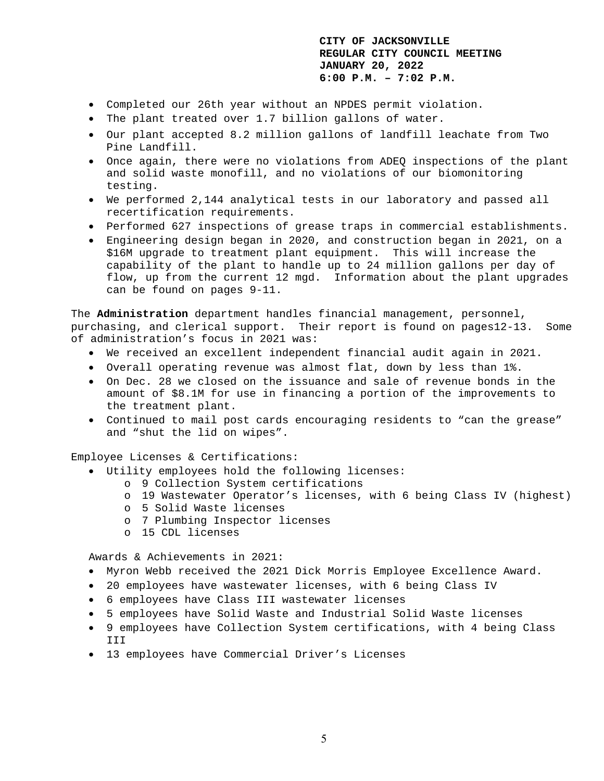- Completed our 26th year without an NPDES permit violation.
- The plant treated over 1.7 billion gallons of water.
- Our plant accepted 8.2 million gallons of landfill leachate from Two Pine Landfill.
- Once again, there were no violations from ADEQ inspections of the plant and solid waste monofill, and no violations of our biomonitoring testing.
- We performed 2,144 analytical tests in our laboratory and passed all recertification requirements.
- Performed 627 inspections of grease traps in commercial establishments.
- Engineering design began in 2020, and construction began in 2021, on a \$16M upgrade to treatment plant equipment. This will increase the capability of the plant to handle up to 24 million gallons per day of flow, up from the current 12 mgd. Information about the plant upgrades can be found on pages 9-11.

The **Administration** department handles financial management, personnel, purchasing, and clerical support. Their report is found on pages12-13. Some of administration's focus in 2021 was:

- We received an excellent independent financial audit again in 2021.
- Overall operating revenue was almost flat, down by less than 1%.
- On Dec. 28 we closed on the issuance and sale of revenue bonds in the amount of \$8.1M for use in financing a portion of the improvements to the treatment plant.
- Continued to mail post cards encouraging residents to "can the grease" and "shut the lid on wipes".

Employee Licenses & Certifications:

- Utility employees hold the following licenses:
	- o 9 Collection System certifications
	- o 19 Wastewater Operator's licenses, with 6 being Class IV (highest)
	- o 5 Solid Waste licenses
	- o 7 Plumbing Inspector licenses
	- o 15 CDL licenses

Awards & Achievements in 2021:

- Myron Webb received the 2021 Dick Morris Employee Excellence Award.
- 20 employees have wastewater licenses, with 6 being Class IV
- 6 employees have Class III wastewater licenses
- 5 employees have Solid Waste and Industrial Solid Waste licenses
- 9 employees have Collection System certifications, with 4 being Class III
- 13 employees have Commercial Driver's Licenses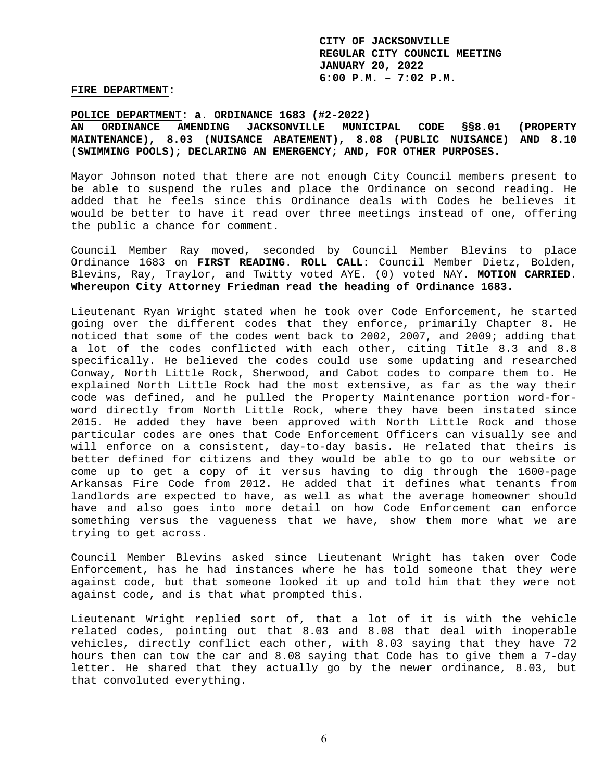**FIRE DEPARTMENT:** 

**POLICE DEPARTMENT: a. ORDINANCE 1683 (#2-2022)** 

**AN ORDINANCE AMENDING JACKSONVILLE MUNICIPAL CODE §§8.01 (PROPERTY MAINTENANCE), 8.03 (NUISANCE ABATEMENT), 8.08 (PUBLIC NUISANCE) AND 8.10 (SWIMMING POOLS); DECLARING AN EMERGENCY; AND, FOR OTHER PURPOSES.** 

Mayor Johnson noted that there are not enough City Council members present to be able to suspend the rules and place the Ordinance on second reading. He added that he feels since this Ordinance deals with Codes he believes it would be better to have it read over three meetings instead of one, offering the public a chance for comment.

Council Member Ray moved, seconded by Council Member Blevins to place Ordinance 1683 on **FIRST READING**. **ROLL CALL**: Council Member Dietz, Bolden, Blevins, Ray, Traylor, and Twitty voted AYE. (0) voted NAY. **MOTION CARRIED. Whereupon City Attorney Friedman read the heading of Ordinance 1683.** 

Lieutenant Ryan Wright stated when he took over Code Enforcement, he started going over the different codes that they enforce, primarily Chapter 8. He noticed that some of the codes went back to 2002, 2007, and 2009; adding that a lot of the codes conflicted with each other, citing Title 8.3 and 8.8 specifically. He believed the codes could use some updating and researched Conway, North Little Rock, Sherwood, and Cabot codes to compare them to. He explained North Little Rock had the most extensive, as far as the way their code was defined, and he pulled the Property Maintenance portion word-forword directly from North Little Rock, where they have been instated since 2015. He added they have been approved with North Little Rock and those particular codes are ones that Code Enforcement Officers can visually see and will enforce on a consistent, day-to-day basis. He related that theirs is better defined for citizens and they would be able to go to our website or come up to get a copy of it versus having to dig through the 1600-page Arkansas Fire Code from 2012. He added that it defines what tenants from landlords are expected to have, as well as what the average homeowner should have and also goes into more detail on how Code Enforcement can enforce something versus the vagueness that we have, show them more what we are trying to get across.

Council Member Blevins asked since Lieutenant Wright has taken over Code Enforcement, has he had instances where he has told someone that they were against code, but that someone looked it up and told him that they were not against code, and is that what prompted this.

Lieutenant Wright replied sort of, that a lot of it is with the vehicle related codes, pointing out that 8.03 and 8.08 that deal with inoperable vehicles, directly conflict each other, with 8.03 saying that they have 72 hours then can tow the car and 8.08 saying that Code has to give them a 7-day letter. He shared that they actually go by the newer ordinance, 8.03, but that convoluted everything.

6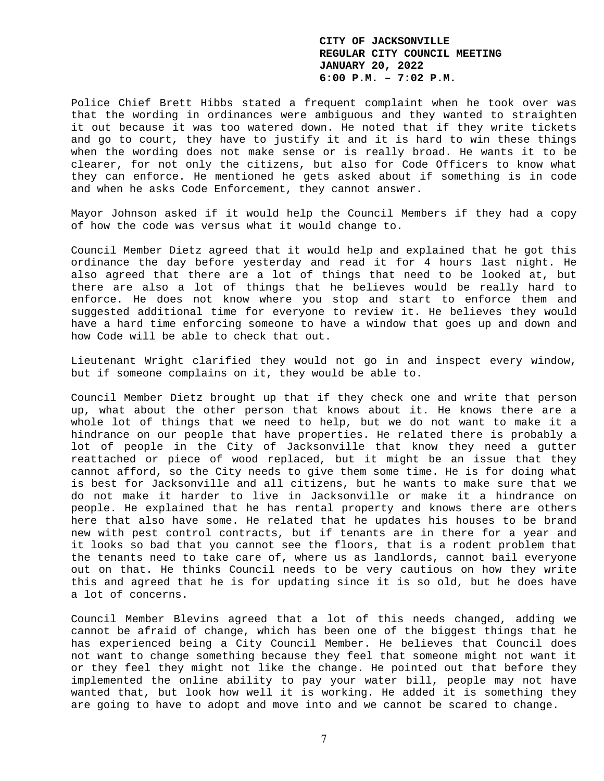Police Chief Brett Hibbs stated a frequent complaint when he took over was that the wording in ordinances were ambiguous and they wanted to straighten it out because it was too watered down. He noted that if they write tickets and go to court, they have to justify it and it is hard to win these things when the wording does not make sense or is really broad. He wants it to be clearer, for not only the citizens, but also for Code Officers to know what they can enforce. He mentioned he gets asked about if something is in code and when he asks Code Enforcement, they cannot answer.

Mayor Johnson asked if it would help the Council Members if they had a copy of how the code was versus what it would change to.

Council Member Dietz agreed that it would help and explained that he got this ordinance the day before yesterday and read it for 4 hours last night. He also agreed that there are a lot of things that need to be looked at, but there are also a lot of things that he believes would be really hard to enforce. He does not know where you stop and start to enforce them and suggested additional time for everyone to review it. He believes they would have a hard time enforcing someone to have a window that goes up and down and how Code will be able to check that out.

Lieutenant Wright clarified they would not go in and inspect every window, but if someone complains on it, they would be able to.

Council Member Dietz brought up that if they check one and write that person up, what about the other person that knows about it. He knows there are a whole lot of things that we need to help, but we do not want to make it a hindrance on our people that have properties. He related there is probably a lot of people in the City of Jacksonville that know they need a gutter reattached or piece of wood replaced, but it might be an issue that they cannot afford, so the City needs to give them some time. He is for doing what is best for Jacksonville and all citizens, but he wants to make sure that we do not make it harder to live in Jacksonville or make it a hindrance on people. He explained that he has rental property and knows there are others here that also have some. He related that he updates his houses to be brand new with pest control contracts, but if tenants are in there for a year and it looks so bad that you cannot see the floors, that is a rodent problem that the tenants need to take care of, where us as landlords, cannot bail everyone out on that. He thinks Council needs to be very cautious on how they write this and agreed that he is for updating since it is so old, but he does have a lot of concerns.

Council Member Blevins agreed that a lot of this needs changed, adding we cannot be afraid of change, which has been one of the biggest things that he has experienced being a City Council Member. He believes that Council does not want to change something because they feel that someone might not want it or they feel they might not like the change. He pointed out that before they implemented the online ability to pay your water bill, people may not have wanted that, but look how well it is working. He added it is something they are going to have to adopt and move into and we cannot be scared to change.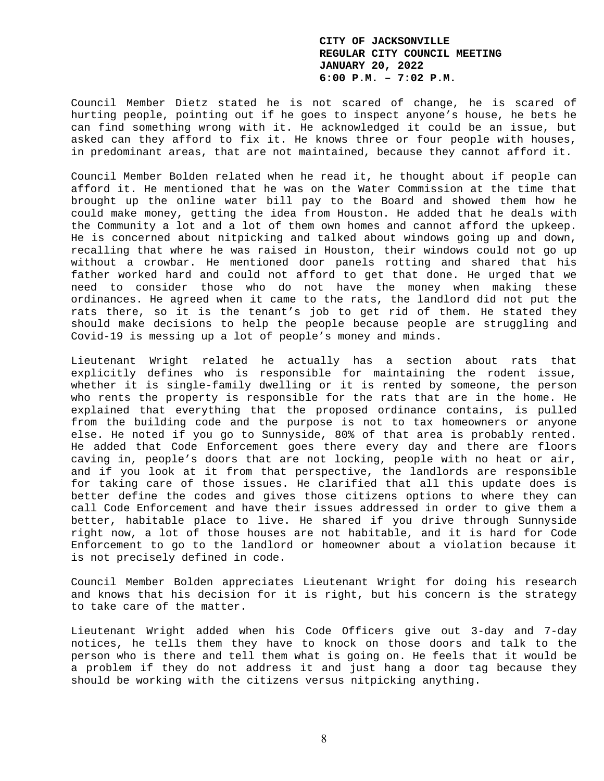Council Member Dietz stated he is not scared of change, he is scared of hurting people, pointing out if he goes to inspect anyone's house, he bets he can find something wrong with it. He acknowledged it could be an issue, but asked can they afford to fix it. He knows three or four people with houses, in predominant areas, that are not maintained, because they cannot afford it.

Council Member Bolden related when he read it, he thought about if people can afford it. He mentioned that he was on the Water Commission at the time that brought up the online water bill pay to the Board and showed them how he could make money, getting the idea from Houston. He added that he deals with the Community a lot and a lot of them own homes and cannot afford the upkeep. He is concerned about nitpicking and talked about windows going up and down, recalling that where he was raised in Houston, their windows could not go up without a crowbar. He mentioned door panels rotting and shared that his father worked hard and could not afford to get that done. He urged that we need to consider those who do not have the money when making these ordinances. He agreed when it came to the rats, the landlord did not put the rats there, so it is the tenant's job to get rid of them. He stated they should make decisions to help the people because people are struggling and Covid-19 is messing up a lot of people's money and minds.

Lieutenant Wright related he actually has a section about rats that explicitly defines who is responsible for maintaining the rodent issue, whether it is single-family dwelling or it is rented by someone, the person who rents the property is responsible for the rats that are in the home. He explained that everything that the proposed ordinance contains, is pulled from the building code and the purpose is not to tax homeowners or anyone else. He noted if you go to Sunnyside, 80% of that area is probably rented. He added that Code Enforcement goes there every day and there are floors caving in, people's doors that are not locking, people with no heat or air, and if you look at it from that perspective, the landlords are responsible for taking care of those issues. He clarified that all this update does is better define the codes and gives those citizens options to where they can call Code Enforcement and have their issues addressed in order to give them a better, habitable place to live. He shared if you drive through Sunnyside right now, a lot of those houses are not habitable, and it is hard for Code Enforcement to go to the landlord or homeowner about a violation because it is not precisely defined in code.

Council Member Bolden appreciates Lieutenant Wright for doing his research and knows that his decision for it is right, but his concern is the strategy to take care of the matter.

Lieutenant Wright added when his Code Officers give out 3-day and 7-day notices, he tells them they have to knock on those doors and talk to the person who is there and tell them what is going on. He feels that it would be a problem if they do not address it and just hang a door tag because they should be working with the citizens versus nitpicking anything.

8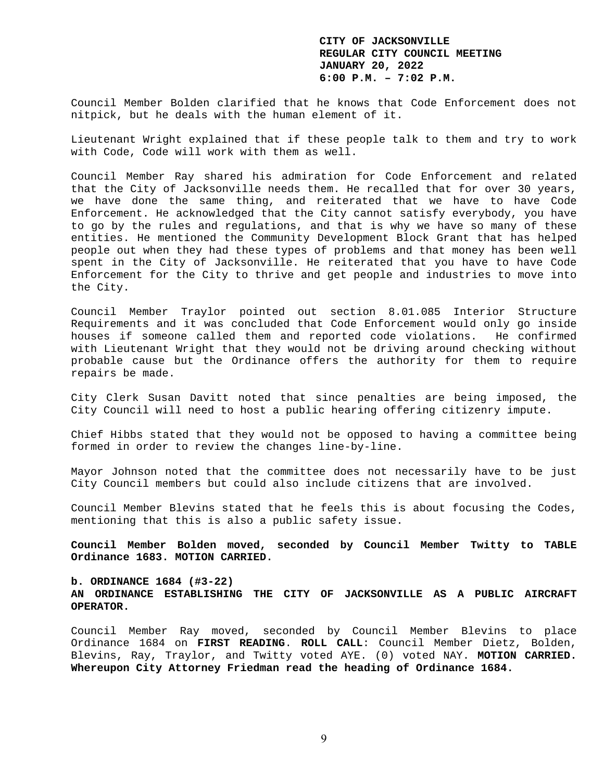Council Member Bolden clarified that he knows that Code Enforcement does not nitpick, but he deals with the human element of it.

Lieutenant Wright explained that if these people talk to them and try to work with Code, Code will work with them as well.

Council Member Ray shared his admiration for Code Enforcement and related that the City of Jacksonville needs them. He recalled that for over 30 years, we have done the same thing, and reiterated that we have to have Code Enforcement. He acknowledged that the City cannot satisfy everybody, you have to go by the rules and regulations, and that is why we have so many of these entities. He mentioned the Community Development Block Grant that has helped people out when they had these types of problems and that money has been well spent in the City of Jacksonville. He reiterated that you have to have Code Enforcement for the City to thrive and get people and industries to move into the City.

Council Member Traylor pointed out section 8.01.085 Interior Structure Requirements and it was concluded that Code Enforcement would only go inside houses if someone called them and reported code violations. He confirmed with Lieutenant Wright that they would not be driving around checking without probable cause but the Ordinance offers the authority for them to require repairs be made.

City Clerk Susan Davitt noted that since penalties are being imposed, the City Council will need to host a public hearing offering citizenry impute.

Chief Hibbs stated that they would not be opposed to having a committee being formed in order to review the changes line-by-line.

Mayor Johnson noted that the committee does not necessarily have to be just City Council members but could also include citizens that are involved.

Council Member Blevins stated that he feels this is about focusing the Codes, mentioning that this is also a public safety issue.

**Council Member Bolden moved, seconded by Council Member Twitty to TABLE Ordinance 1683. MOTION CARRIED.** 

**b. ORDINANCE 1684 (#3-22) AN ORDINANCE ESTABLISHING THE CITY OF JACKSONVILLE AS A PUBLIC AIRCRAFT OPERATOR.** 

Council Member Ray moved, seconded by Council Member Blevins to place Ordinance 1684 on **FIRST READING**. **ROLL CALL**: Council Member Dietz, Bolden, Blevins, Ray, Traylor, and Twitty voted AYE. (0) voted NAY. **MOTION CARRIED. Whereupon City Attorney Friedman read the heading of Ordinance 1684.**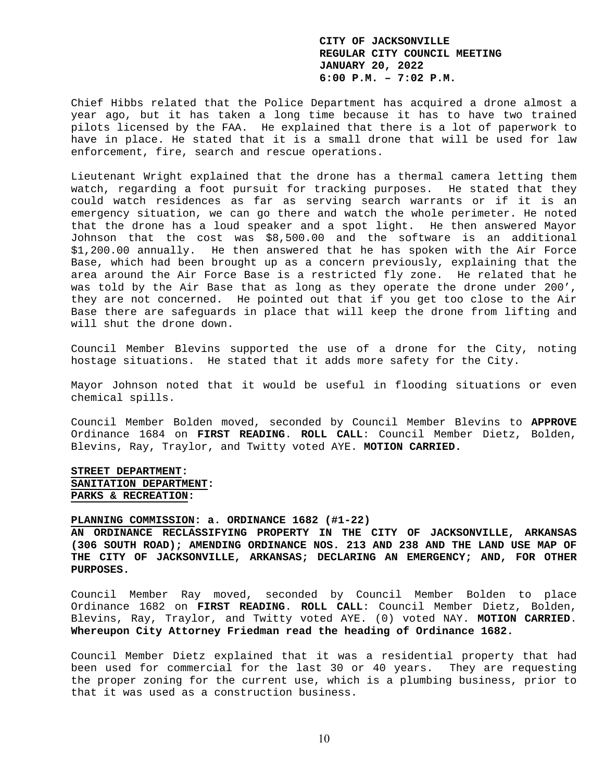Chief Hibbs related that the Police Department has acquired a drone almost a year ago, but it has taken a long time because it has to have two trained pilots licensed by the FAA. He explained that there is a lot of paperwork to have in place. He stated that it is a small drone that will be used for law enforcement, fire, search and rescue operations.

Lieutenant Wright explained that the drone has a thermal camera letting them watch, regarding a foot pursuit for tracking purposes. He stated that they could watch residences as far as serving search warrants or if it is an emergency situation, we can go there and watch the whole perimeter. He noted that the drone has a loud speaker and a spot light. He then answered Mayor Johnson that the cost was \$8,500.00 and the software is an additional \$1,200.00 annually. He then answered that he has spoken with the Air Force Base, which had been brought up as a concern previously, explaining that the area around the Air Force Base is a restricted fly zone. He related that he was told by the Air Base that as long as they operate the drone under 200', they are not concerned. He pointed out that if you get too close to the Air Base there are safeguards in place that will keep the drone from lifting and will shut the drone down.

Council Member Blevins supported the use of a drone for the City, noting hostage situations. He stated that it adds more safety for the City.

Mayor Johnson noted that it would be useful in flooding situations or even chemical spills.

Council Member Bolden moved, seconded by Council Member Blevins to **APPROVE** Ordinance 1684 on **FIRST READING**. **ROLL CALL**: Council Member Dietz, Bolden, Blevins, Ray, Traylor, and Twitty voted AYE. **MOTION CARRIED.** 

**STREET DEPARTMENT: SANITATION DEPARTMENT: PARKS & RECREATION:** 

### **PLANNING COMMISSION: a. ORDINANCE 1682 (#1-22)**

**AN ORDINANCE RECLASSIFYING PROPERTY IN THE CITY OF JACKSONVILLE, ARKANSAS (306 SOUTH ROAD); AMENDING ORDINANCE NOS. 213 AND 238 AND THE LAND USE MAP OF THE CITY OF JACKSONVILLE, ARKANSAS; DECLARING AN EMERGENCY; AND, FOR OTHER PURPOSES.** 

Council Member Ray moved, seconded by Council Member Bolden to place Ordinance 1682 on **FIRST READING**. **ROLL CALL**: Council Member Dietz, Bolden, Blevins, Ray, Traylor, and Twitty voted AYE. (0) voted NAY. **MOTION CARRIED**. **Whereupon City Attorney Friedman read the heading of Ordinance 1682.** 

Council Member Dietz explained that it was a residential property that had been used for commercial for the last 30 or 40 years. They are requesting the proper zoning for the current use, which is a plumbing business, prior to that it was used as a construction business.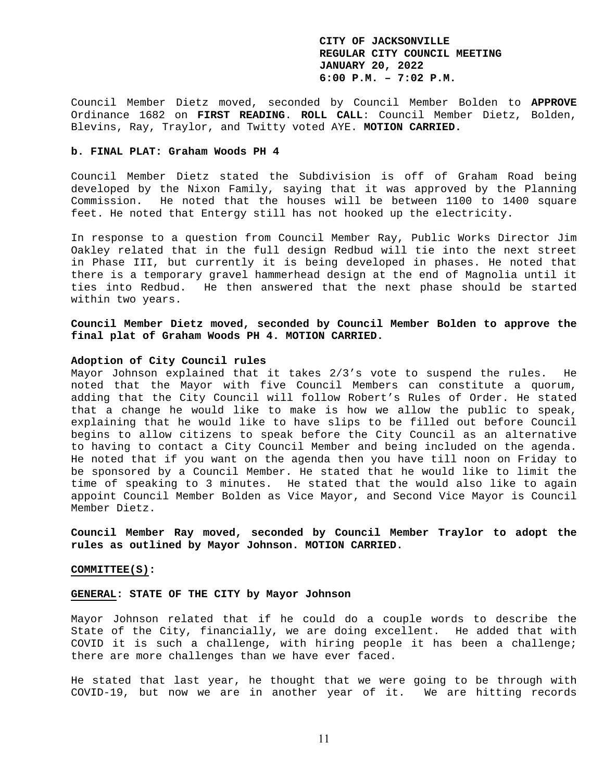Council Member Dietz moved, seconded by Council Member Bolden to **APPROVE** Ordinance 1682 on **FIRST READING**. **ROLL CALL**: Council Member Dietz, Bolden, Blevins, Ray, Traylor, and Twitty voted AYE. **MOTION CARRIED.** 

### **b. FINAL PLAT: Graham Woods PH 4**

Council Member Dietz stated the Subdivision is off of Graham Road being developed by the Nixon Family, saying that it was approved by the Planning Commission. He noted that the houses will be between 1100 to 1400 square feet. He noted that Entergy still has not hooked up the electricity.

In response to a question from Council Member Ray, Public Works Director Jim Oakley related that in the full design Redbud will tie into the next street in Phase III, but currently it is being developed in phases. He noted that there is a temporary gravel hammerhead design at the end of Magnolia until it ties into Redbud. He then answered that the next phase should be started within two years.

**Council Member Dietz moved, seconded by Council Member Bolden to approve the final plat of Graham Woods PH 4. MOTION CARRIED.** 

### **Adoption of City Council rules**

Mayor Johnson explained that it takes 2/3's vote to suspend the rules. He noted that the Mayor with five Council Members can constitute a quorum, adding that the City Council will follow Robert's Rules of Order. He stated that a change he would like to make is how we allow the public to speak, explaining that he would like to have slips to be filled out before Council begins to allow citizens to speak before the City Council as an alternative to having to contact a City Council Member and being included on the agenda. He noted that if you want on the agenda then you have till noon on Friday to be sponsored by a Council Member. He stated that he would like to limit the time of speaking to 3 minutes. He stated that the would also like to again appoint Council Member Bolden as Vice Mayor, and Second Vice Mayor is Council Member Dietz.

**Council Member Ray moved, seconded by Council Member Traylor to adopt the rules as outlined by Mayor Johnson. MOTION CARRIED.** 

#### **COMMITTEE(S):**

#### **GENERAL: STATE OF THE CITY by Mayor Johnson**

Mayor Johnson related that if he could do a couple words to describe the State of the City, financially, we are doing excellent. He added that with COVID it is such a challenge, with hiring people it has been a challenge; there are more challenges than we have ever faced.

He stated that last year, he thought that we were going to be through with COVID-19, but now we are in another year of it. We are hitting records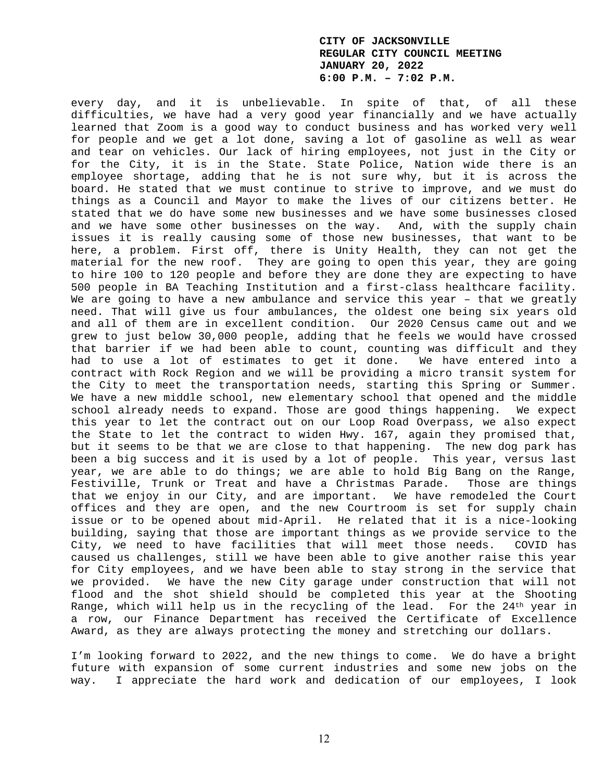every day, and it is unbelievable. In spite of that, of all these difficulties, we have had a very good year financially and we have actually learned that Zoom is a good way to conduct business and has worked very well for people and we get a lot done, saving a lot of gasoline as well as wear and tear on vehicles. Our lack of hiring employees, not just in the City or for the City, it is in the State. State Police, Nation wide there is an employee shortage, adding that he is not sure why, but it is across the board. He stated that we must continue to strive to improve, and we must do things as a Council and Mayor to make the lives of our citizens better. He stated that we do have some new businesses and we have some businesses closed and we have some other businesses on the way. And, with the supply chain issues it is really causing some of those new businesses, that want to be here, a problem. First off, there is Unity Health, they can not get the material for the new roof. They are going to open this year, they are going to hire 100 to 120 people and before they are done they are expecting to have 500 people in BA Teaching Institution and a first-class healthcare facility. We are going to have a new ambulance and service this year - that we greatly need. That will give us four ambulances, the oldest one being six years old and all of them are in excellent condition. Our 2020 Census came out and we grew to just below 30,000 people, adding that he feels we would have crossed that barrier if we had been able to count, counting was difficult and they had to use a lot of estimates to get it done. We have entered into a contract with Rock Region and we will be providing a micro transit system for the City to meet the transportation needs, starting this Spring or Summer. We have a new middle school, new elementary school that opened and the middle school already needs to expand. Those are good things happening. We expect this year to let the contract out on our Loop Road Overpass, we also expect the State to let the contract to widen Hwy. 167, again they promised that, but it seems to be that we are close to that happening. The new dog park has been a big success and it is used by a lot of people. This year, versus last year, we are able to do things; we are able to hold Big Bang on the Range, Festiville, Trunk or Treat and have a Christmas Parade. Those are things that we enjoy in our City, and are important. We have remodeled the Court offices and they are open, and the new Courtroom is set for supply chain issue or to be opened about mid-April. He related that it is a nice-looking building, saying that those are important things as we provide service to the City, we need to have facilities that will meet those needs. COVID has caused us challenges, still we have been able to give another raise this year for City employees, and we have been able to stay strong in the service that we provided. We have the new City garage under construction that will not flood and the shot shield should be completed this year at the Shooting Range, which will help us in the recycling of the lead. For the  $24<sup>th</sup>$  year in a row, our Finance Department has received the Certificate of Excellence Award, as they are always protecting the money and stretching our dollars.

I'm looking forward to 2022, and the new things to come. We do have a bright future with expansion of some current industries and some new jobs on the way. I appreciate the hard work and dedication of our employees, I look